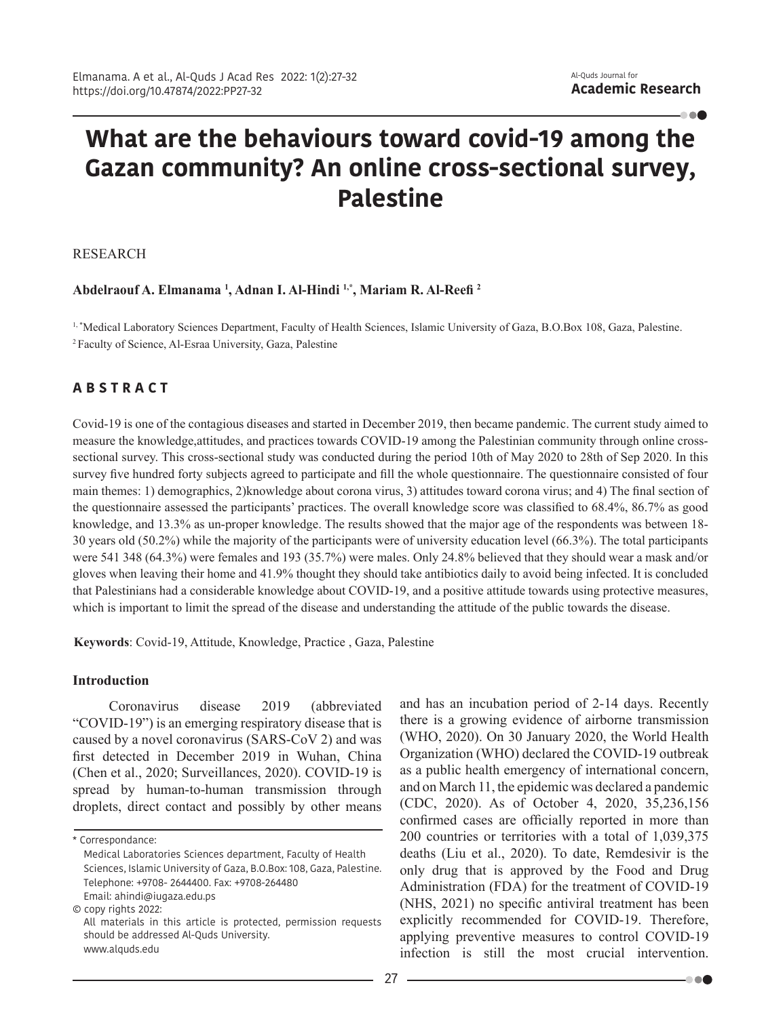- - -

# **What are the behaviours toward covid-19 among the Gazan community? An online cross-sectional survey, Palestine**

RESEARCH

## **Abdelraouf A. Elmanama <sup>1</sup> , Adnan I. Al-Hindi 1,\*, Mariam R. Al-Reefi <sup>2</sup>**

<sup>1,</sup> \*Medical Laboratory Sciences Department, Faculty of Health Sciences, Islamic University of Gaza, B.O.Box 108, Gaza, Palestine. 2 Faculty of Science, Al-Esraa University, Gaza, Palestine

# **A B S T R A C T**

Covid-19 is one of the contagious diseases and started in December 2019, then became pandemic. The current study aimed to measure the knowledge,attitudes, and practices towards COVID-19 among the Palestinian community through online crosssectional survey. This cross-sectional study was conducted during the period 10th of May 2020 to 28th of Sep 2020. In this survey five hundred forty subjects agreed to participate and fill the whole questionnaire. The questionnaire consisted of four main themes: 1) demographics, 2)knowledge about corona virus, 3) attitudes toward corona virus; and 4) The final section of the questionnaire assessed the participants' practices. The overall knowledge score was classified to 68.4%, 86.7% as good knowledge, and 13.3% as un-proper knowledge. The results showed that the major age of the respondents was between 18- 30 years old (50.2%) while the majority of the participants were of university education level (66.3%). The total participants were 541 348 (64.3%) were females and 193 (35.7%) were males. Only 24.8% believed that they should wear a mask and/or gloves when leaving their home and 41.9% thought they should take antibiotics daily to avoid being infected. It is concluded that Palestinians had a considerable knowledge about COVID-19, and a positive attitude towards using protective measures, which is important to limit the spread of the disease and understanding the attitude of the public towards the disease.

**Keywords**: Covid-19, Attitude, Knowledge, Practice , Gaza, Palestine

#### **Introduction**

Coronavirus disease 2019 (abbreviated "COVID-19") is an emerging respiratory disease that is caused by a novel coronavirus (SARS-CoV 2) and was first detected in December 2019 in Wuhan, China (Chen et al., 2020; Surveillances, 2020). COVID-19 is spread by human-to-human transmission through droplets, direct contact and possibly by other means

© copy rights 2022:

and has an incubation period of 2-14 days. Recently there is a growing evidence of airborne transmission (WHO, 2020). On 30 January 2020, the World Health Organization (WHO) declared the COVID-19 outbreak as a public health emergency of international concern, and on March 11, the epidemic was declared a pandemic (CDC, 2020). As of October 4, 2020, 35,236,156 confirmed cases are officially reported in more than 200 countries or territories with a total of 1,039,375 deaths (Liu et al., 2020). To date, Remdesivir is the only drug that is approved by the Food and Drug Administration (FDA) for the treatment of COVID-19 (NHS, 2021) no specific antiviral treatment has been explicitly recommended for COVID-19. Therefore, applying preventive measures to control COVID-19 infection is still the most crucial intervention.

. . .

<sup>\*</sup> Correspondance:

Medical Laboratories Sciences department, Faculty of Health Sciences, Islamic University of Gaza, B.O.Box: 108, Gaza, Palestine. Telephone: +9708- 2644400. Fax: +9708-264480 Email: ahindi@iugaza.edu.ps

All materials in this article is protected, permission requests should be addressed Al-Quds University. www.alquds.edu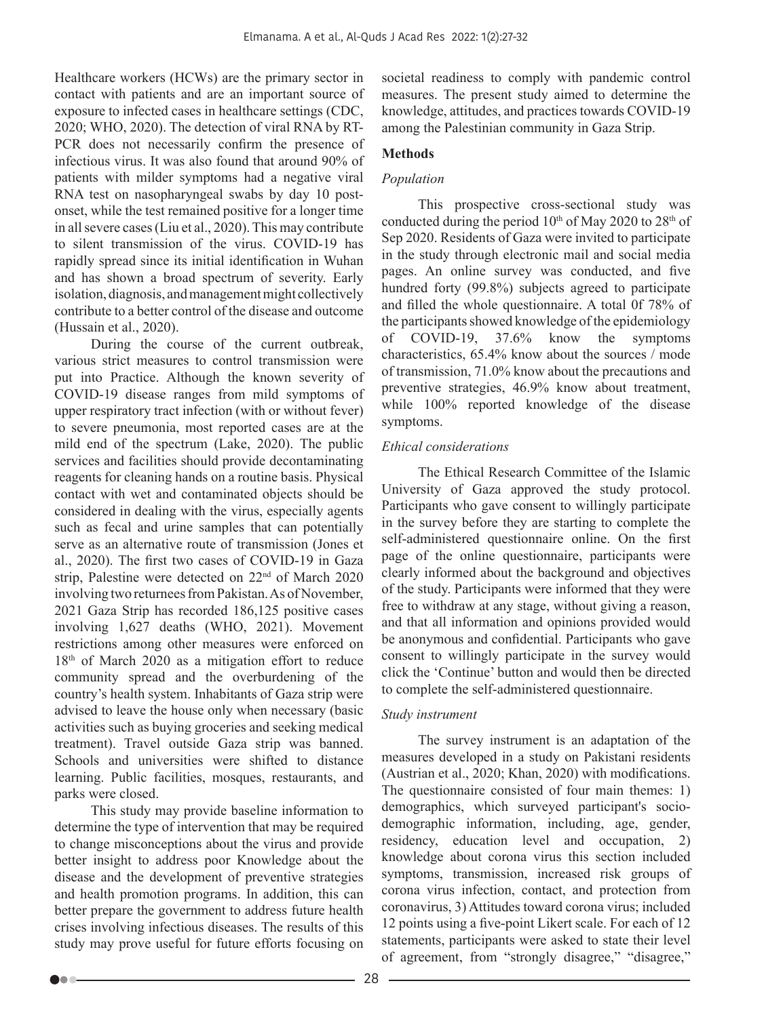Healthcare workers (HCWs) are the primary sector in contact with patients and are an important source of exposure to infected cases in healthcare settings (CDC, 2020; WHO, 2020). The detection of viral RNA by RT-PCR does not necessarily confirm the presence of infectious virus. It was also found that around 90% of patients with milder symptoms had a negative viral RNA test on nasopharyngeal swabs by day 10 postonset, while the test remained positive for a longer time in all severe cases (Liu et al., 2020). This may contribute to silent transmission of the virus. COVID-19 has rapidly spread since its initial identification in Wuhan and has shown a broad spectrum of severity. Early isolation, diagnosis, and management might collectively contribute to a better control of the disease and outcome (Hussain et al., 2020).

During the course of the current outbreak, various strict measures to control transmission were put into Practice. Although the known severity of COVID-19 disease ranges from mild symptoms of upper respiratory tract infection (with or without fever) to severe pneumonia, most reported cases are at the mild end of the spectrum (Lake, 2020). The public services and facilities should provide decontaminating reagents for cleaning hands on a routine basis. Physical contact with wet and contaminated objects should be considered in dealing with the virus, especially agents such as fecal and urine samples that can potentially serve as an alternative route of transmission (Jones et al., 2020). The first two cases of COVID-19 in Gaza strip, Palestine were detected on 22<sup>nd</sup> of March 2020 involving two returnees from Pakistan. As of November, 2021 Gaza Strip has recorded 186,125 positive cases involving 1,627 deaths (WHO, 2021). Movement restrictions among other measures were enforced on 18<sup>th</sup> of March 2020 as a mitigation effort to reduce community spread and the overburdening of the country's health system. Inhabitants of Gaza strip were advised to leave the house only when necessary (basic activities such as buying groceries and seeking medical treatment). Travel outside Gaza strip was banned. Schools and universities were shifted to distance learning. Public facilities, mosques, restaurants, and parks were closed.

This study may provide baseline information to determine the type of intervention that may be required to change misconceptions about the virus and provide better insight to address poor Knowledge about the disease and the development of preventive strategies and health promotion programs. In addition, this can better prepare the government to address future health crises involving infectious diseases. The results of this study may prove useful for future efforts focusing on societal readiness to comply with pandemic control measures. The present study aimed to determine the knowledge, attitudes, and practices towards COVID-19 among the Palestinian community in Gaza Strip.

# **Methods**

# *Population*

This prospective cross-sectional study was conducted during the period  $10<sup>th</sup>$  of May 2020 to 28<sup>th</sup> of Sep 2020. Residents of Gaza were invited to participate in the study through electronic mail and social media pages. An online survey was conducted, and five hundred forty (99.8%) subjects agreed to participate and filled the whole questionnaire. A total 0f 78% of the participants showed knowledge of the epidemiology of COVID-19, 37.6% know the symptoms characteristics, 65.4% know about the sources / mode of transmission, 71.0% know about the precautions and preventive strategies, 46.9% know about treatment, while 100% reported knowledge of the disease symptoms.

# *Ethical considerations*

The Ethical Research Committee of the Islamic University of Gaza approved the study protocol. Participants who gave consent to willingly participate in the survey before they are starting to complete the self-administered questionnaire online. On the first page of the online questionnaire, participants were clearly informed about the background and objectives of the study. Participants were informed that they were free to withdraw at any stage, without giving a reason, and that all information and opinions provided would be anonymous and confidential. Participants who gave consent to willingly participate in the survey would click the 'Continue' button and would then be directed to complete the self-administered questionnaire.

## *Study instrument*

The survey instrument is an adaptation of the measures developed in a study on Pakistani residents (Austrian et al., 2020; Khan, 2020) with modifications. The questionnaire consisted of four main themes: 1) demographics, which surveyed participant's sociodemographic information, including, age, gender, residency, education level and occupation, 2) knowledge about corona virus this section included symptoms, transmission, increased risk groups of corona virus infection, contact, and protection from coronavirus, 3) Attitudes toward corona virus; included 12 points using a five-point Likert scale. For each of 12 statements, participants were asked to state their level of agreement, from "strongly disagree," "disagree,"

Do a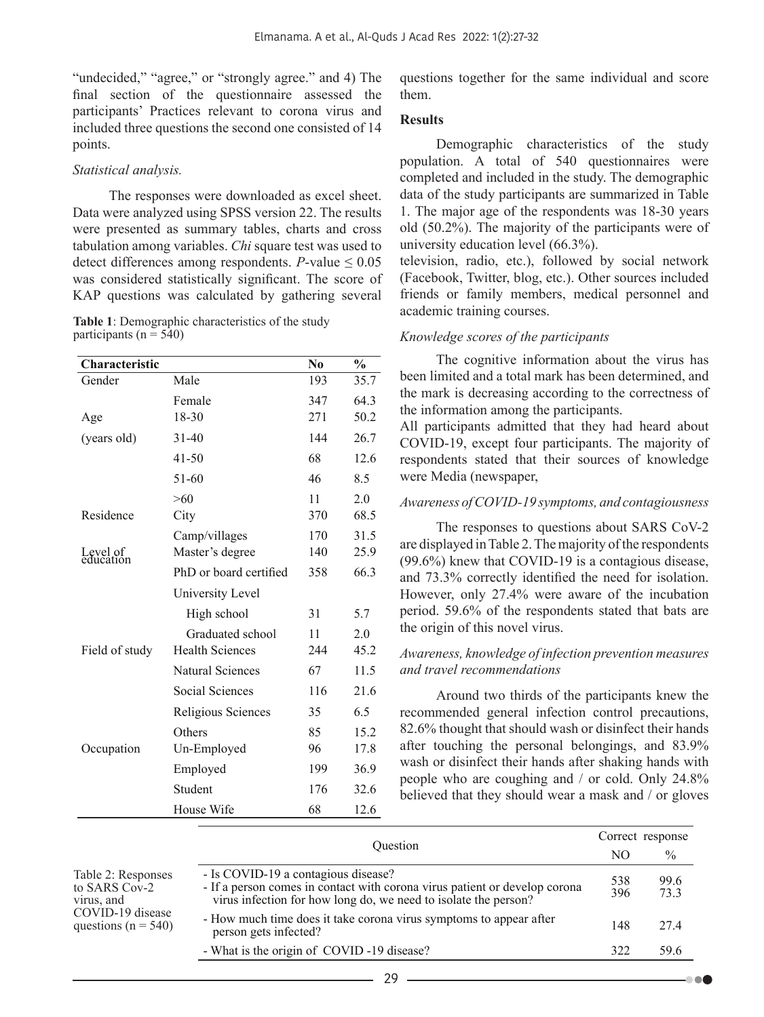"undecided," "agree," or "strongly agree." and 4) The final section of the questionnaire assessed the participants' Practices relevant to corona virus and included three questions the second one consisted of 14 points.

## *Statistical analysis.*

The responses were downloaded as excel sheet. Data were analyzed using SPSS version 22. The results were presented as summary tables, charts and cross tabulation among variables. *Chi* square test was used to detect differences among respondents.  $P$ -value  $\leq 0.05$ was considered statistically significant. The score of KAP questions was calculated by gathering several

**Table 1**: Demographic characteristics of the study participants ( $n = 540$ )

| Characteristic        |                        | N <sub>0</sub> | $\frac{0}{0}$ |
|-----------------------|------------------------|----------------|---------------|
| Gender                | Male                   | 193            | 35.7          |
|                       | Female                 | 347            | 64.3          |
| Age                   | 18-30                  | 271            | 50.2          |
| (years old)           | $31 - 40$              | 144            | 26.7          |
|                       | 41-50                  | 68             | 12.6          |
|                       | 51-60                  | 46             | 8.5           |
|                       | >60                    | 11             | 2.0           |
| Residence             | City                   | 370            | 68.5          |
|                       | Camp/villages          | 170            | 31.5          |
| Level of<br>education | Master's degree        | 140            | 25.9          |
|                       | PhD or board certified | 358            | 66.3          |
|                       | University Level       |                |               |
|                       | High school            | 31             | 5.7           |
|                       | Graduated school       | 11             | 2.0           |
| Field of study        | <b>Health Sciences</b> | 244            | 45.2          |
|                       | Natural Sciences       | 67             | 11.5          |
|                       | <b>Social Sciences</b> | 116            | 21.6          |
|                       | Religious Sciences     | 35             | 6.5           |
|                       | Others                 | 85             | 15.2          |
| Occupation            | Un-Employed            | 96             | 17.8          |
|                       | Employed               | 199            | 36.9          |
|                       | Student                | 176            | 32.6          |
|                       | House Wife             | 68             | 12.6          |

questions together for the same individual and score them.

## **Results**

Demographic characteristics of the study population. A total of 540 questionnaires were completed and included in the study. The demographic data of the study participants are summarized in Table 1. The major age of the respondents was 18-30 years old (50.2%). The majority of the participants were of university education level (66.3%).

television, radio, etc.), followed by social network (Facebook, Twitter, blog, etc.). Other sources included friends or family members, medical personnel and academic training courses.

## *Knowledge scores of the participants*

The cognitive information about the virus has been limited and a total mark has been determined, and the mark is decreasing according to the correctness of the information among the participants.

All participants admitted that they had heard about COVID-19, except four participants. The majority of respondents stated that their sources of knowledge were Media (newspaper,

#### *Awareness of COVID-19 symptoms, and contagiousness*

The responses to questions about SARS CoV-2 are displayed in Table 2. The majority of the respondents (99.6%) knew that COVID-19 is a contagious disease, and 73.3% correctly identified the need for isolation. However, only 27.4% were aware of the incubation period. 59.6% of the respondents stated that bats are the origin of this novel virus.

## *Awareness, knowledge of infection prevention measures and travel recommendations*

Around two thirds of the participants knew the recommended general infection control precautions, 82.6% thought that should wash or disinfect their hands after touching the personal belongings, and 83.9% wash or disinfect their hands after shaking hands with people who are coughing and / or cold. Only 24.8% believed that they should wear a mask and / or gloves

|                                                                                                  |                                                                                                                                                                                      | Correct response |               |
|--------------------------------------------------------------------------------------------------|--------------------------------------------------------------------------------------------------------------------------------------------------------------------------------------|------------------|---------------|
|                                                                                                  | <b>Ouestion</b>                                                                                                                                                                      | NО               | $\frac{0}{0}$ |
| Table 2: Responses<br>to SARS Cov-2<br>virus, and<br>COVID-19 disease<br>questions ( $n = 540$ ) | - Is COVID-19 a contagious disease?<br>- If a person comes in contact with corona virus patient or develop corona<br>virus infection for how long do, we need to isolate the person? | 538<br>396       | 99.6<br>73.3  |
|                                                                                                  | - How much time does it take corona virus symptoms to appear after<br>person gets infected?                                                                                          |                  | 274           |
|                                                                                                  | - What is the origin of COVID-19 disease?                                                                                                                                            | 322              | 59.6          |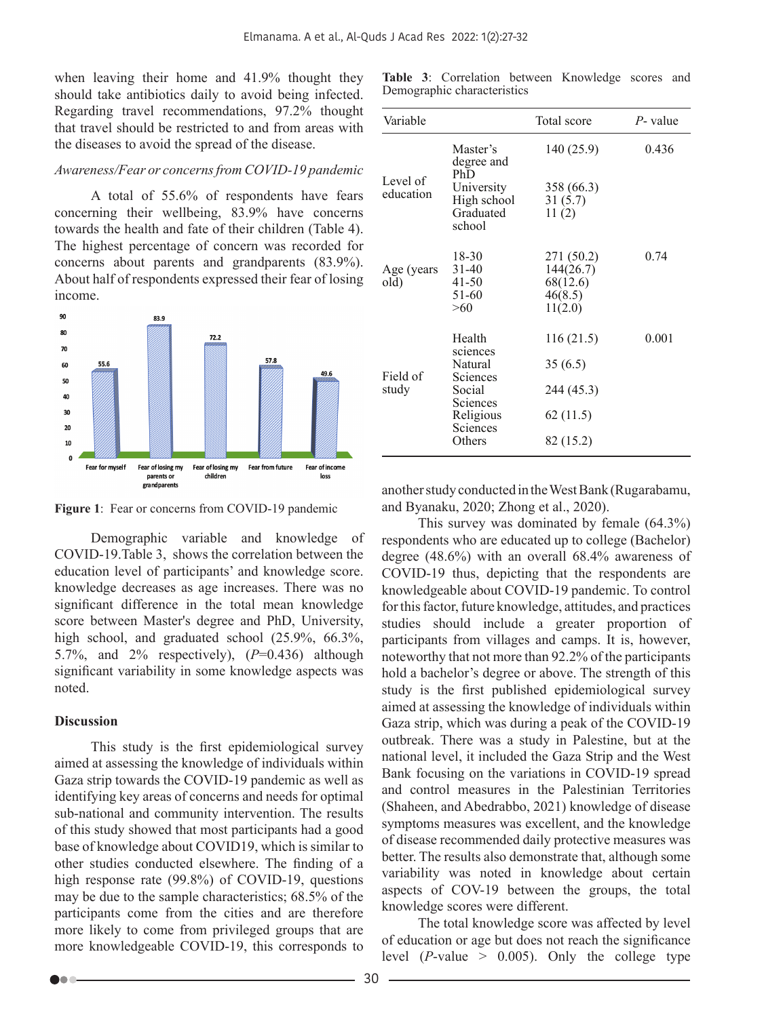when leaving their home and 41.9% thought they should take antibiotics daily to avoid being infected. Regarding travel recommendations, 97.2% thought that travel should be restricted to and from areas with the diseases to avoid the spread of the disease.

## *Awareness/Fear or concerns from COVID-19 pandemic*

A total of 55.6% of respondents have fears concerning their wellbeing, 83.9% have concerns towards the health and fate of their children (Table 4). The highest percentage of concern was recorded for concerns about parents and grandparents (83.9%). About half of respondents expressed their fear of losing income.



Figure 1: Fear or concerns from COVID-19 pandemic

Demographic variable and knowledge of COVID-19.Table 3, shows the correlation between the education level of participants' and knowledge score. knowledge decreases as age increases. There was no significant difference in the total mean knowledge score between Master's degree and PhD, University, high school, and graduated school (25.9%, 66.3%, 5.7%, and 2% respectively), (*P*=0.436) although significant variability in some knowledge aspects was noted.

## **Discussion**

bo a

This study is the first epidemiological survey aimed at assessing the knowledge of individuals within Gaza strip towards the COVID-19 pandemic as well as identifying key areas of concerns and needs for optimal sub-national and community intervention. The results of this study showed that most participants had a good base of knowledge about COVID19, which is similar to other studies conducted elsewhere. The finding of a high response rate (99.8%) of COVID-19, questions may be due to the sample characteristics; 68.5% of the participants come from the cities and are therefore more likely to come from privileged groups that are more knowledgeable COVID-19, this corresponds to

|  |                             | Table 3: Correlation between Knowledge scores and |  |
|--|-----------------------------|---------------------------------------------------|--|
|  | Demographic characteristics |                                                   |  |

| Variable              |                                                  | Total score                                               | P- value |
|-----------------------|--------------------------------------------------|-----------------------------------------------------------|----------|
| Level of<br>education | Master's<br>degree and<br>PhD                    | 140 (25.9)                                                | 0.436    |
|                       | University<br>High school<br>Graduated<br>school | 358 (66.3)<br>31(5.7)<br>11(2)                            |          |
| Age (years<br>old)    | 18-30<br>$31 - 40$<br>41-50<br>51-60<br>>60      | 271 (50.2)<br>144(26.7)<br>68(12.6)<br>46(8.5)<br>11(2.0) | 0.74     |
|                       | Health<br>sciences                               | 116(21.5)                                                 | 0.001    |
| Field of<br>study     | Natural<br>Sciences                              | 35(6.5)                                                   |          |
|                       | Social<br>Sciences                               | 244 (45.3)                                                |          |
|                       | Religious<br>Sciences                            | 62(11.5)                                                  |          |
|                       | Others                                           | 82 (15.2)                                                 |          |

another study conducted in the West Bank (Rugarabamu, and Byanaku, 2020; Zhong et al., 2020).

This survey was dominated by female (64.3%) respondents who are educated up to college (Bachelor) degree (48.6%) with an overall 68.4% awareness of COVID-19 thus, depicting that the respondents are knowledgeable about COVID-19 pandemic. To control for this factor, future knowledge, attitudes, and practices studies should include a greater proportion of participants from villages and camps. It is, however, noteworthy that not more than 92.2% of the participants hold a bachelor's degree or above. The strength of this study is the first published epidemiological survey aimed at assessing the knowledge of individuals within Gaza strip, which was during a peak of the COVID-19 outbreak. There was a study in Palestine, but at the national level, it included the Gaza Strip and the West Bank focusing on the variations in COVID-19 spread and control measures in the Palestinian Territories (Shaheen, and Abedrabbo, 2021) knowledge of disease symptoms measures was excellent, and the knowledge of disease recommended daily protective measures was better. The results also demonstrate that, although some variability was noted in knowledge about certain aspects of COV-19 between the groups, the total knowledge scores were different.

The total knowledge score was affected by level of education or age but does not reach the significance level  $(P-value > 0.005)$ . Only the college type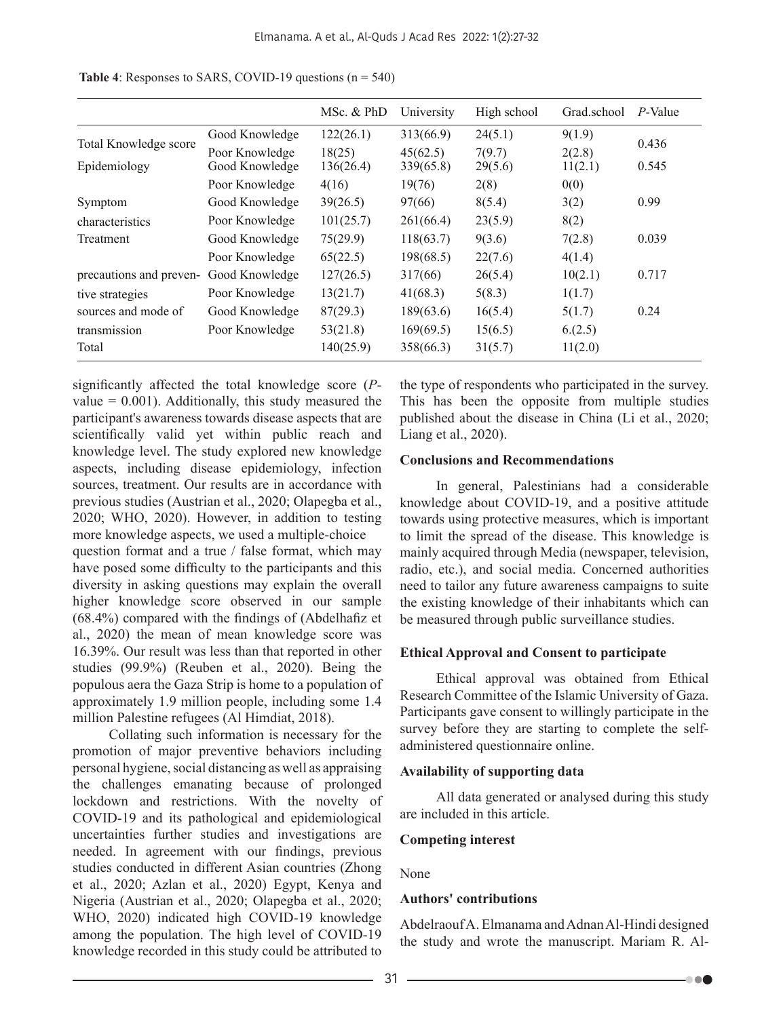|                         |                | MSc. & PhD | University | High school | Grad school | P-Value |
|-------------------------|----------------|------------|------------|-------------|-------------|---------|
| Total Knowledge score   | Good Knowledge | 122(26.1)  | 313(66.9)  | 24(5.1)     | 9(1.9)      | 0.436   |
|                         | Poor Knowledge | 18(25)     | 45(62.5)   | 7(9.7)      | 2(2.8)      |         |
| Epidemiology            | Good Knowledge | 136(26.4)  | 339(65.8)  | 29(5.6)     | 11(2.1)     | 0.545   |
|                         | Poor Knowledge | 4(16)      | 19(76)     | 2(8)        | 0(0)        |         |
| Symptom                 | Good Knowledge | 39(26.5)   | 97(66)     | 8(5.4)      | 3(2)        | 0.99    |
| characteristics         | Poor Knowledge | 101(25.7)  | 261(66.4)  | 23(5.9)     | 8(2)        |         |
| Treatment               | Good Knowledge | 75(29.9)   | 118(63.7)  | 9(3.6)      | 7(2.8)      | 0.039   |
|                         | Poor Knowledge | 65(22.5)   | 198(68.5)  | 22(7.6)     | 4(1.4)      |         |
| precautions and preven- | Good Knowledge | 127(26.5)  | 317(66)    | 26(5.4)     | 10(2.1)     | 0.717   |
| tive strategies         | Poor Knowledge | 13(21.7)   | 41(68.3)   | 5(8.3)      | 1(1.7)      |         |
| sources and mode of     | Good Knowledge | 87(29.3)   | 189(63.6)  | 16(5.4)     | 5(1.7)      | 0.24    |
| transmission            | Poor Knowledge | 53(21.8)   | 169(69.5)  | 15(6.5)     | 6(2.5)      |         |
| Total                   |                | 140(25.9)  | 358(66.3)  | 31(5.7)     | 11(2.0)     |         |

**Table 4**: Responses to SARS, COVID-19 questions  $(n = 540)$ 

significantly affected the total knowledge score (*P*value  $= 0.001$ ). Additionally, this study measured the participant's awareness towards disease aspects that are scientifically valid yet within public reach and knowledge level. The study explored new knowledge aspects, including disease epidemiology, infection sources, treatment. Our results are in accordance with previous studies (Austrian et al., 2020; Olapegba et al., 2020; WHO, 2020). However, in addition to testing more knowledge aspects, we used a multiple-choice question format and a true / false format, which may have posed some difficulty to the participants and this diversity in asking questions may explain the overall higher knowledge score observed in our sample (68.4%) compared with the findings of (Abdelhafiz et al., 2020) the mean of mean knowledge score was 16.39%. Our result was less than that reported in other studies (99.9%) (Reuben et al., 2020). Being the populous aera the Gaza Strip is home to a population of approximately 1.9 million people, including some 1.4 million Palestine refugees (Al Himdiat, 2018).

Collating such information is necessary for the promotion of major preventive behaviors including personal hygiene, social distancing as well as appraising the challenges emanating because of prolonged lockdown and restrictions. With the novelty of COVID-19 and its pathological and epidemiological uncertainties further studies and investigations are needed. In agreement with our findings, previous studies conducted in different Asian countries (Zhong et al., 2020; Azlan et al., 2020) Egypt, Kenya and Nigeria (Austrian et al., 2020; Olapegba et al., 2020; WHO, 2020) indicated high COVID-19 knowledge among the population. The high level of COVID-19 knowledge recorded in this study could be attributed to

the type of respondents who participated in the survey. This has been the opposite from multiple studies published about the disease in China (Li et al., 2020; Liang et al., 2020).

## **Conclusions and Recommendations**

In general, Palestinians had a considerable knowledge about COVID-19, and a positive attitude towards using protective measures, which is important to limit the spread of the disease. This knowledge is mainly acquired through Media (newspaper, television, radio, etc.), and social media. Concerned authorities need to tailor any future awareness campaigns to suite the existing knowledge of their inhabitants which can be measured through public surveillance studies.

#### **Ethical Approval and Consent to participate**

Ethical approval was obtained from Ethical Research Committee of the Islamic University of Gaza. Participants gave consent to willingly participate in the survey before they are starting to complete the selfadministered questionnaire online.

## **Availability of supporting data**

All data generated or analysed during this study are included in this article.

## **Competing interest**

None

## **Authors' contributions**

Abdelraouf A. Elmanama and Adnan Al-Hindi designed the study and wrote the manuscript. Mariam R. Al-

 $\bullet\bullet\bullet$